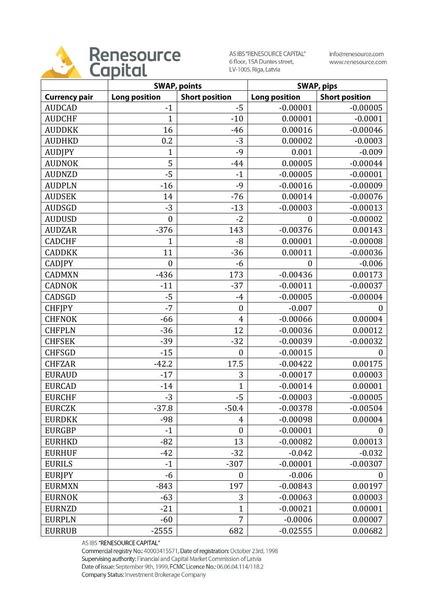

AS IBS "RENESOURCE CAPITAL" 6 floor, 15A Duntes street, LV-1005, Riga, Latvia

info@renesource.com www.renesource.com

|                      | <b>SWAP, points</b>  |                       | <b>SWAP, pips</b>    |                       |
|----------------------|----------------------|-----------------------|----------------------|-----------------------|
| <b>Currency pair</b> | <b>Long position</b> | <b>Short position</b> | <b>Long position</b> | <b>Short position</b> |
| <b>AUDCAD</b>        | $-1$                 | $-5$                  | $-0.00001$           | $-0.00005$            |
| <b>AUDCHF</b>        | 1                    | $-10$                 | 0.00001              | $-0.0001$             |
| <b>AUDDKK</b>        | 16                   | $-46$                 | 0.00016              | $-0.00046$            |
| <b>AUDHKD</b>        | 0.2                  | $-3$                  | 0.00002              | $-0.0003$             |
| <b>AUDJPY</b>        | 1                    | $-9$                  | 0.001                | $-0.009$              |
| <b>AUDNOK</b>        | 5                    | $-44$                 | 0.00005              | $-0.00044$            |
| <b>AUDNZD</b>        | $-5$                 | $-1$                  | $-0.00005$           | $-0.00001$            |
| <b>AUDPLN</b>        | $-16$                | $-9$                  | $-0.00016$           | $-0.00009$            |
| <b>AUDSEK</b>        | 14                   | $-76$                 | 0.00014              | $-0.00076$            |
| <b>AUDSGD</b>        | $-3$                 | $-13$                 | $-0.00003$           | $-0.00013$            |
| <b>AUDUSD</b>        | $\boldsymbol{0}$     | $-2$                  | $\boldsymbol{0}$     | $-0.00002$            |
| <b>AUDZAR</b>        | $-376$               | 143                   | $-0.00376$           | 0.00143               |
| <b>CADCHF</b>        | $\mathbf{1}$         | $-8$                  | 0.00001              | $-0.00008$            |
| <b>CADDKK</b>        | 11                   | $-36$                 | 0.00011              | $-0.00036$            |
| <b>CADJPY</b>        | $\mathbf{0}$         | $-6$                  | $\mathbf{0}$         | $-0.006$              |
| <b>CADMXN</b>        | $-436$               | 173                   | $-0.00436$           | 0.00173               |
| <b>CADNOK</b>        | $-11$                | $-37$                 | $-0.00011$           | $-0.00037$            |
| CADSGD               | $-5$                 | $-4$                  | $-0.00005$           | $-0.00004$            |
| <b>CHFJPY</b>        | $-7$                 | $\boldsymbol{0}$      | $-0.007$             | 0                     |
| <b>CHFNOK</b>        | $-66$                | $\overline{4}$        | $-0.00066$           | 0.00004               |
| <b>CHFPLN</b>        | $-36$                | 12                    | $-0.00036$           | 0.00012               |
| <b>CHFSEK</b>        | $-39$                | $-32$                 | $-0.00039$           | $-0.00032$            |
| <b>CHFSGD</b>        | $-15$                | $\boldsymbol{0}$      | $-0.00015$           | $\overline{0}$        |
| <b>CHFZAR</b>        | $-42.2$              | 17.5                  | $-0.00422$           | 0.00175               |
| <b>EURAUD</b>        | $-17$                | 3                     | $-0.00017$           | 0.00003               |
| <b>EURCAD</b>        | $-14$                | $\mathbf{1}$          | $-0.00014$           | 0.00001               |
| <b>EURCHF</b>        | $-3$                 | $-5$                  | $-0.00003$           | $-0.00005$            |
| <b>EURCZK</b>        | $-37.8$              | $-50.4$               | $-0.00378$           | $-0.00504$            |
| <b>EURDKK</b>        | $-98$                | 4                     | $-0.00098$           | 0.00004               |
| <b>EURGBP</b>        | $-1$                 | $\boldsymbol{0}$      | $-0.00001$           | $\boldsymbol{0}$      |
| <b>EURHKD</b>        | $-82$                | 13                    | $-0.00082$           | 0.00013               |
| <b>EURHUF</b>        | $-42$                | $-32$                 | $-0.042$             | $-0.032$              |
| <b>EURILS</b>        | $-1$                 | $-307$                | $-0.00001$           | $-0.00307$            |
| <b>EURJPY</b>        | $-6$                 | $\boldsymbol{0}$      | $-0.006$             | 0                     |
| <b>EURMXN</b>        | $-843$               | 197                   | $-0.00843$           | 0.00197               |
| <b>EURNOK</b>        | $-63$                | 3                     | $-0.00063$           | 0.00003               |
| <b>EURNZD</b>        | $-21$                | $\mathbf{1}$          | $-0.00021$           | 0.00001               |
| <b>EURPLN</b>        | $-60$                | 7                     | $-0.0006$            | 0.00007               |
| <b>EURRUB</b>        | $-2555$              | 682                   | $-0.02555$           | 0.00682               |

AS IBS "RENESOURCE CAPITAL"

Commercial registry No.: 40003415571, Date of registration: October 23rd, 1998 Supervising authority: Financial and Capital Market Commission of Latvia Date of issue: September 9th, 1999, FCMC Licence No.: 06.06.04.114/118.2 Company Status: Investment Brokerage Company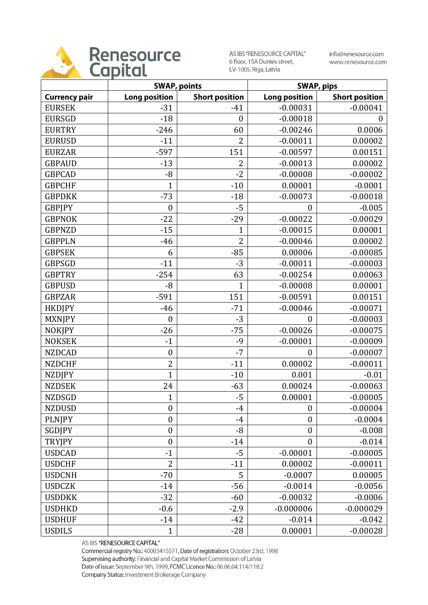

AS IBS "RENESOURCE CAPITAL" 6 floor, 15A Duntes street, LV-1005, Riga, Latvia

info@renesource.com www.renesource.com

|                      | <b>SWAP, points</b>  |                       | <b>SWAP, pips</b>    |                       |
|----------------------|----------------------|-----------------------|----------------------|-----------------------|
| <b>Currency pair</b> | <b>Long position</b> | <b>Short position</b> | <b>Long position</b> | <b>Short position</b> |
| <b>EURSEK</b>        | $-31$                | $-41$                 | $-0.00031$           | $-0.00041$            |
| <b>EURSGD</b>        | $-18$                | $\boldsymbol{0}$      | $-0.00018$           | 0                     |
| <b>EURTRY</b>        | $-246$               | 60                    | $-0.00246$           | 0.0006                |
| <b>EURUSD</b>        | $-11$                | $\overline{2}$        | $-0.00011$           | 0.00002               |
| <b>EURZAR</b>        | $-597$               | 151                   | $-0.00597$           | 0.00151               |
| <b>GBPAUD</b>        | $-13$                | $\overline{2}$        | $-0.00013$           | 0.00002               |
| <b>GBPCAD</b>        | $-8$                 | $-2$                  | $-0.00008$           | $-0.00002$            |
| <b>GBPCHF</b>        | $\mathbf{1}$         | $-10$                 | 0.00001              | $-0.0001$             |
| <b>GBPDKK</b>        | $-73$                | $-18$                 | $-0.00073$           | $-0.00018$            |
| <b>GBPJPY</b>        | $\boldsymbol{0}$     | $-5$                  | 0                    | $-0.005$              |
| <b>GBPNOK</b>        | $-22$                | $-29$                 | $-0.00022$           | $-0.00029$            |
| <b>GBPNZD</b>        | $-15$                | $\mathbf{1}$          | $-0.00015$           | 0.00001               |
| <b>GBPPLN</b>        | $-46$                | $\overline{2}$        | $-0.00046$           | 0.00002               |
| <b>GBPSEK</b>        | 6                    | $-85$                 | 0.00006              | $-0.00085$            |
| <b>GBPSGD</b>        | $-11$                | $-3$                  | $-0.00011$           | $-0.00003$            |
| <b>GBPTRY</b>        | $-254$               | 63                    | $-0.00254$           | 0.00063               |
| <b>GBPUSD</b>        | $-8$                 | $\mathbf{1}$          | $-0.00008$           | 0.00001               |
| <b>GBPZAR</b>        | $-591$               | 151                   | $-0.00591$           | 0.00151               |
| <b>HKDJPY</b>        | $-46$                | $-71$                 | $-0.00046$           | $-0.00071$            |
| <b>MXNJPY</b>        | $\boldsymbol{0}$     | $-3$                  | $\overline{0}$       | $-0.00003$            |
| <b>NOKJPY</b>        | $-26$                | $-75$                 | $-0.00026$           | $-0.00075$            |
| <b>NOKSEK</b>        | $-1$                 | $-9$                  | $-0.00001$           | $-0.00009$            |
| <b>NZDCAD</b>        | $\boldsymbol{0}$     | $-7$                  | $\boldsymbol{0}$     | $-0.00007$            |
| <b>NZDCHF</b>        | $\overline{2}$       | $-11$                 | 0.00002              | $-0.00011$            |
| <b>NZDJPY</b>        | $\mathbf{1}$         | $-10$                 | 0.001                | $-0.01$               |
| <b>NZDSEK</b>        | 24                   | $-63$                 | 0.00024              | $-0.00063$            |
| <b>NZDSGD</b>        | $\mathbf{1}$         | $-5$                  | 0.00001              | $-0.00005$            |
| <b>NZDUSD</b>        | $\boldsymbol{0}$     | $-4$                  | $\boldsymbol{0}$     | $-0.00004$            |
| <b>PLNJPY</b>        | $\boldsymbol{0}$     | $-4$                  | $\boldsymbol{0}$     | $-0.0004$             |
| SGDJPY               | $\boldsymbol{0}$     | $-8$                  | $\boldsymbol{0}$     | $-0.008$              |
| <b>TRYJPY</b>        | $\boldsymbol{0}$     | $-14$                 | $\overline{0}$       | $-0.014$              |
| <b>USDCAD</b>        | $-1$                 | $-5$                  | $-0.00001$           | $-0.00005$            |
| <b>USDCHF</b>        | $\overline{2}$       | $-11$                 | 0.00002              | $-0.00011$            |
| <b>USDCNH</b>        | $-70$                | 5                     | $-0.0007$            | 0.00005               |
| <b>USDCZK</b>        | $-14$                | $-56$                 | $-0.0014$            | $-0.0056$             |
| <b>USDDKK</b>        | $-32$                | $-60$                 | $-0.00032$           | $-0.0006$             |
| <b>USDHKD</b>        | $-0.6$               | $-2.9$                | $-0.000006$          | $-0.000029$           |
| <b>USDHUF</b>        | $-14$                | $-42$                 | $-0.014$             | $-0.042$              |
| <b>USDILS</b>        | $\overline{1}$       | $-28$                 | 0.00001              | $-0.00028$            |

AS IBS "RENESOURCE CAPITAL"

Commercial registry No.: 40003415571, Date of registration: October 23rd, 1998 Supervising authority: Financial and Capital Market Commission of Latvia Date of issue: September 9th, 1999, FCMC Licence No.: 06.06.04.114/118.2 Company Status: Investment Brokerage Company